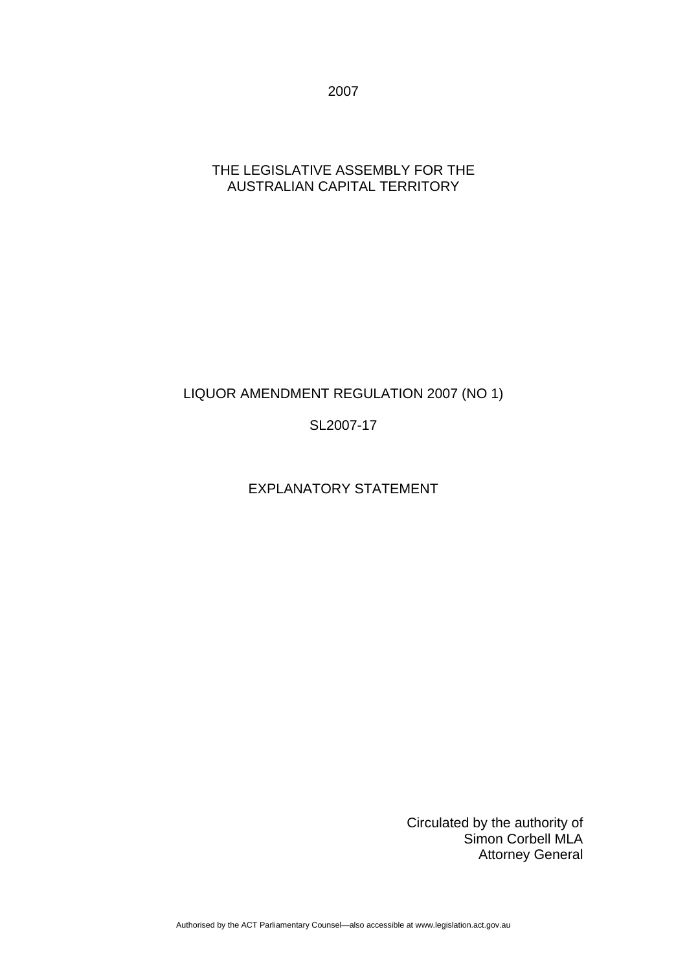2007

### THE LEGISLATIVE ASSEMBLY FOR THE AUSTRALIAN CAPITAL TERRITORY

## LIQUOR AMENDMENT REGULATION 2007 (NO 1)

SL2007-17

## EXPLANATORY STATEMENT

Circulated by the authority of Simon Corbell MLA Attorney General